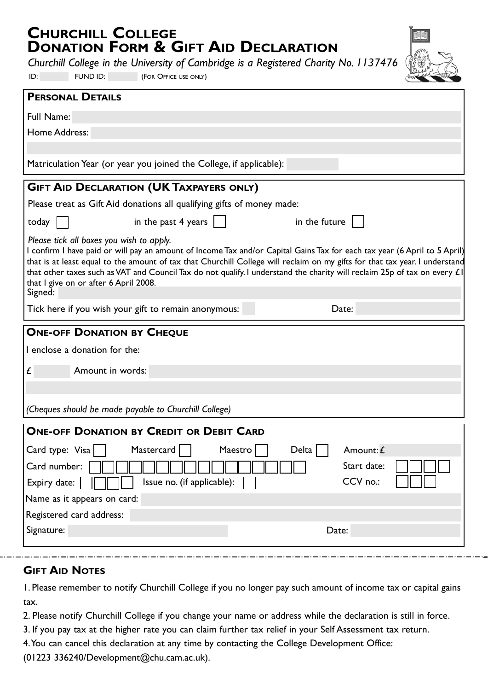# **CHURCHILL COLLEGE DONATION FORM & GIFT AID DECLARATION**

*Churchill College in the University of Cambridge is a Registered Charity No. 1137476* 

ID: FUND ID: (FOR OFFICE USE ONLY)



| Full Name:                                                                                                                                                                                                                                                                                                                                                                                                                                                                              |
|-----------------------------------------------------------------------------------------------------------------------------------------------------------------------------------------------------------------------------------------------------------------------------------------------------------------------------------------------------------------------------------------------------------------------------------------------------------------------------------------|
| Home Address:                                                                                                                                                                                                                                                                                                                                                                                                                                                                           |
|                                                                                                                                                                                                                                                                                                                                                                                                                                                                                         |
| Matriculation Year (or year you joined the College, if applicable):                                                                                                                                                                                                                                                                                                                                                                                                                     |
| <b>GIFT AID DECLARATION (UK TAXPAYERS ONLY)</b>                                                                                                                                                                                                                                                                                                                                                                                                                                         |
| Please treat as Gift Aid donations all qualifying gifts of money made:                                                                                                                                                                                                                                                                                                                                                                                                                  |
| in the past $4$ years $\vert$<br>in the future<br>today                                                                                                                                                                                                                                                                                                                                                                                                                                 |
| Please tick all boxes you wish to apply.<br>I confirm I have paid or will pay an amount of Income Tax and/or Capital Gains Tax for each tax year (6 April to 5 April)<br>that is at least equal to the amount of tax that Churchill College will reclaim on my gifts for that tax year. I understand<br>that other taxes such as VAT and Council Tax do not qualify. I understand the charity will reclaim 25p of tax on every $E $<br>that I give on or after 6 April 2008.<br>Signed: |
| Tick here if you wish your gift to remain anonymous:<br>Date:                                                                                                                                                                                                                                                                                                                                                                                                                           |
| <b>ONE-OFF DONATION BY CHEQUE</b>                                                                                                                                                                                                                                                                                                                                                                                                                                                       |
| I enclose a donation for the:                                                                                                                                                                                                                                                                                                                                                                                                                                                           |
|                                                                                                                                                                                                                                                                                                                                                                                                                                                                                         |
| Amount in words:<br>£                                                                                                                                                                                                                                                                                                                                                                                                                                                                   |
|                                                                                                                                                                                                                                                                                                                                                                                                                                                                                         |
| (Cheques should be made payable to Churchill College)                                                                                                                                                                                                                                                                                                                                                                                                                                   |
| <b>ONE-OFF DONATION BY CREDIT OR DEBIT CARD</b>                                                                                                                                                                                                                                                                                                                                                                                                                                         |
| Mastercard<br>Card type: $Visa$   $\mid$<br>Maestro<br>Amount: £<br>Delta                                                                                                                                                                                                                                                                                                                                                                                                               |
| Start date:<br>Card number:                                                                                                                                                                                                                                                                                                                                                                                                                                                             |
| CCV no.:<br>Expiry date:<br>Issue no. (if applicable):                                                                                                                                                                                                                                                                                                                                                                                                                                  |
| Name as it appears on card:                                                                                                                                                                                                                                                                                                                                                                                                                                                             |
| Registered card address:<br>Signature:                                                                                                                                                                                                                                                                                                                                                                                                                                                  |

### **GIFT AID NOTES**

1. Please remember to notify Churchill College if you no longer pay such amount of income tax or capital gains tax.

2. Please notify Churchill College if you change your name or address while the declaration is still in force.

3. If you pay tax at the higher rate you can claim further tax relief in your Self Assessment tax return.

4.You can cancel this declaration at any time by contacting the College Development Office:

(01223 336240/Development@chu.cam.ac.uk).